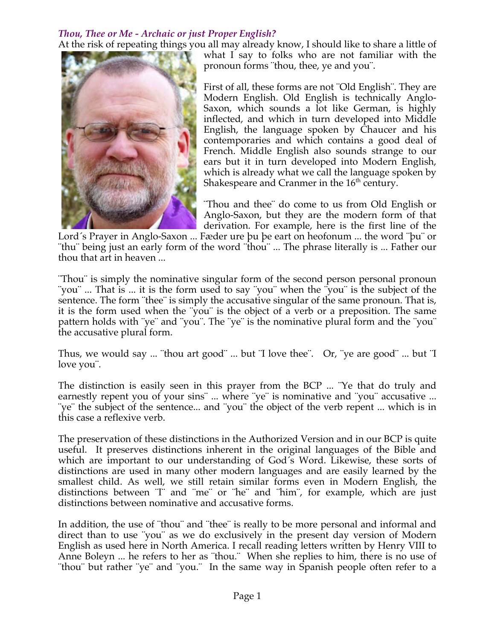## *Thou, Thee or Me - Archaic or just Proper English?*

At the risk of repeating things you all may already know, I should like to share a little of what I say to folks who are not familiar with the pronoun forms ¨thou, thee, ye and you¨.

> First of all, these forms are not ¨Old English¨. They are Modern English. Old English is technically Anglo-Saxon, which sounds a lot like German, is highly inflected, and which in turn developed into Middle English, the language spoken by Chaucer and his contemporaries and which contains a good deal of French. Middle English also sounds strange to our ears but it in turn developed into Modern English, which is already what we call the language spoken by Shakespeare and Cranmer in the 16<sup>th</sup> century.

> ¨Thou and thee¨ do come to us from Old English or Anglo-Saxon, but they are the modern form of that derivation. For example, here is the first line of the

Lord´s Prayer in Anglo-Saxon ... Fæder ure þu þe eart on heofonum ... the word ¨þu¨ or ¨thu¨ being just an early form of the word ¨thou¨ ... The phrase literally is ... Father our thou that art in heaven ...

¨Thou¨ is simply the nominative singular form of the second person personal pronoun ¨you¨ ... That is ... it is the form used to say ¨you¨ when the ¨you¨ is the subject of the sentence. The form "thee" is simply the accusative singular of the same pronoun. That is, it is the form used when the ¨you¨ is the object of a verb or a preposition. The same pattern holds with ¨ye¨ and ¨you¨. The ¨ye¨ is the nominative plural form and the ¨you¨ the accusative plural form.

Thus, we would say ... ¨thou art good¨ ... but ¨I love thee¨. Or, ¨ye are good¨ ... but ¨I love you¨.

The distinction is easily seen in this prayer from the BCP ... ¨Ye that do truly and earnestly repent you of your sins¨ ... where ¨ye¨ is nominative and ¨you¨ accusative ... ¨ye¨ the subject of the sentence... and ¨you¨ the object of the verb repent ... which is in this case a reflexive verb.

The preservation of these distinctions in the Authorized Version and in our BCP is quite useful. It preserves distinctions inherent in the original languages of the Bible and which are important to our understanding of God´s Word. Likewise, these sorts of distinctions are used in many other modern languages and are easily learned by the smallest child. As well, we still retain similar forms even in Modern English, the distinctions between ¨I¨ and ¨me¨ or ¨he¨ and ¨him¨, for example, which are just distinctions between nominative and accusative forms.

In addition, the use of "thou" and "thee" is really to be more personal and informal and direct than to use ¨you¨ as we do exclusively in the present day version of Modern English as used here in North America. I recall reading letters written by Henry VIII to Anne Boleyn ... he refers to her as "thou." When she replies to him, there is no use of ¨thou¨ but rather ¨ye¨ and ¨you.¨ In the same way in Spanish people often refer to a